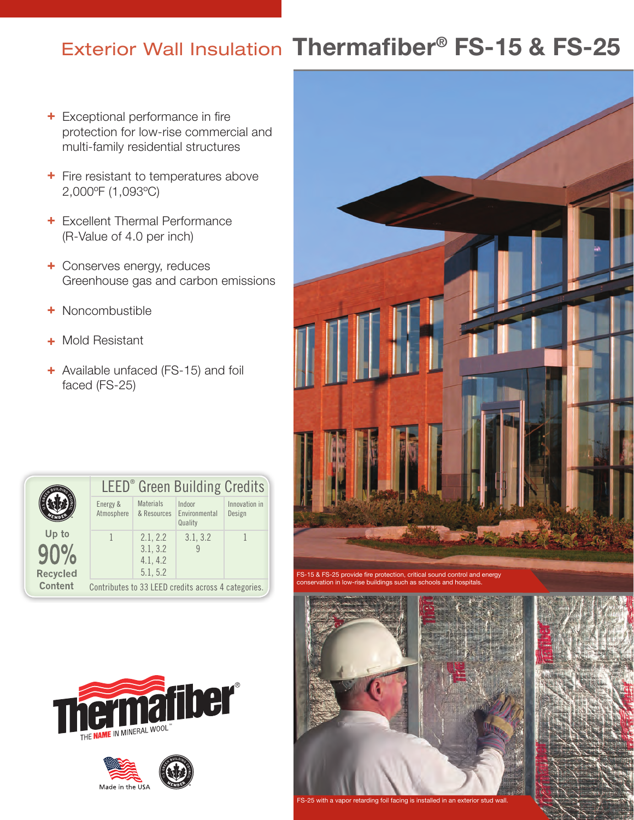## **Exterior Wall Insulation Thermafiber<sup>®</sup> FS-15 & FS-25**

- + Exceptional performance in fire protection for low-rise commercial and multi-family residential structures
- + Fire resistant to temperatures above 2,000ºF (1,093ºC)
- + Excellent Thermal Performance (R-Value of 4.0 per inch)
- + Conserves energy, reduces Greenhouse gas and carbon emissions
- + Noncombustible
- Mold Resistant +
- + Available unfaced (FS-15) and foil faced (FS-25)

|                          | <b>LEED</b> <sup>®</sup> Green Building Credits     |                                              |                                                |                         |  |  |  |
|--------------------------|-----------------------------------------------------|----------------------------------------------|------------------------------------------------|-------------------------|--|--|--|
|                          | Energy &<br>Atmosphere                              | <b>Materials</b>                             | Indoor<br>& Resources Environmental<br>Quality | Innovation in<br>Design |  |  |  |
| Up to<br><b>Recycled</b> |                                                     | 2.1, 2.2<br>3.1, 3.2<br>4.1, 4.2<br>5.1, 5.2 | 3.1, 3.2                                       |                         |  |  |  |
| Content                  | Contributes to 33 LEED credits across 4 categories. |                                              |                                                |                         |  |  |  |







FS-15 & FS-25 provide fire protection, critical sound control and energy conservation in low-rise buildings such as schools and hospitals.